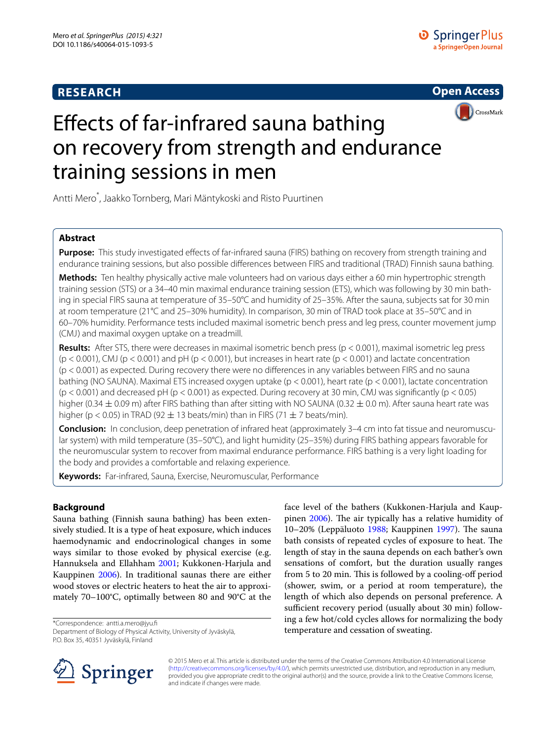# **RESEARCH**



CrossMark

# Effects of far-infrared sauna bathing on recovery from strength and endurance training sessions in men

Antti Mero\* , Jaakko Tornberg, Mari Mäntykoski and Risto Puurtinen

# **Abstract**

**Purpose:** This study investigated effects of far-infrared sauna (FIRS) bathing on recovery from strength training and endurance training sessions, but also possible differences between FIRS and traditional (TRAD) Finnish sauna bathing.

**Methods:** Ten healthy physically active male volunteers had on various days either a 60 min hypertrophic strength training session (STS) or a 34–40 min maximal endurance training session (ETS), which was following by 30 min bathing in special FIRS sauna at temperature of 35–50°C and humidity of 25–35%. After the sauna, subjects sat for 30 min at room temperature (21°C and 25–30% humidity). In comparison, 30 min of TRAD took place at 35–50°C and in 60–70% humidity. Performance tests included maximal isometric bench press and leg press, counter movement jump (CMJ) and maximal oxygen uptake on a treadmill.

**Results:** After STS, there were decreases in maximal isometric bench press (p < 0.001), maximal isometric leg press  $(p < 0.001)$ , CMJ (p < 0.001) and pH (p < 0.001), but increases in heart rate (p < 0.001) and lactate concentration (p < 0.001) as expected. During recovery there were no differences in any variables between FIRS and no sauna bathing (NO SAUNA). Maximal ETS increased oxygen uptake (p < 0.001), heart rate (p < 0.001), lactate concentration  $(p < 0.001)$  and decreased pH (p < 0.001) as expected. During recovery at 30 min, CMJ was significantly (p  $< 0.05$ ) higher (0.34  $\pm$  0.09 m) after FIRS bathing than after sitting with NO SAUNA (0.32  $\pm$  0.0 m). After sauna heart rate was higher (p < 0.05) in TRAD (92  $\pm$  13 beats/min) than in FIRS (71  $\pm$  7 beats/min).

**Conclusion:** In conclusion, deep penetration of infrared heat (approximately 3–4 cm into fat tissue and neuromuscular system) with mild temperature (35–50°C), and light humidity (25–35%) during FIRS bathing appears favorable for the neuromuscular system to recover from maximal endurance performance. FIRS bathing is a very light loading for the body and provides a comfortable and relaxing experience.

**Keywords:** Far-infrared, Sauna, Exercise, Neuromuscular, Performance

# **Background**

Sauna bathing (Finnish sauna bathing) has been extensively studied. It is a type of heat exposure, which induces haemodynamic and endocrinological changes in some ways similar to those evoked by physical exercise (e.g. Hannuksela and Ellahham [2001;](#page-6-0) Kukkonen-Harjula and Kauppinen [2006](#page-6-1)). In traditional saunas there are either wood stoves or electric heaters to heat the air to approximately 70–100°C, optimally between 80 and 90°C at the

\*Correspondence: antti.a.mero@jyu.fi Department of Biology of Physical Activity, University of Jyväskylä, P.O. Box 35, 40351 Jyväskylä, Finland

face level of the bathers (Kukkonen-Harjula and Kauppinen [2006](#page-6-1)). The air typically has a relative humidity of 10–20% (Leppäluoto [1988;](#page-6-2) Kauppinen [1997](#page-6-3)). The sauna bath consists of repeated cycles of exposure to heat. The length of stay in the sauna depends on each bather's own sensations of comfort, but the duration usually ranges from 5 to 20 min. This is followed by a cooling-off period (shower, swim, or a period at room temperature), the length of which also depends on personal preference. A sufficient recovery period (usually about 30 min) following a few hot/cold cycles allows for normalizing the body temperature and cessation of sweating.



© 2015 Mero et al. This article is distributed under the terms of the Creative Commons Attribution 4.0 International License [\(http://creativecommons.org/licenses/by/4.0/\)](http://creativecommons.org/licenses/by/4.0/), which permits unrestricted use, distribution, and reproduction in any medium, provided you give appropriate credit to the original author(s) and the source, provide a link to the Creative Commons license, and indicate if changes were made.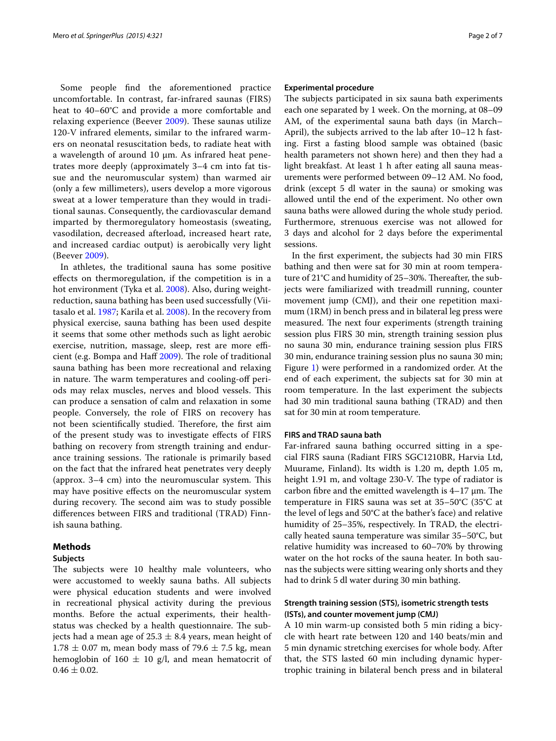Some people find the aforementioned practice uncomfortable. In contrast, far-infrared saunas (FIRS) heat to 40–60°C and provide a more comfortable and relaxing experience (Beever [2009](#page-6-4)). These saunas utilize 120-V infrared elements, similar to the infrared warmers on neonatal resuscitation beds, to radiate heat with a wavelength of around 10  $\mu$ m. As infrared heat penetrates more deeply (approximately 3–4 cm into fat tissue and the neuromuscular system) than warmed air (only a few millimeters), users develop a more vigorous sweat at a lower temperature than they would in traditional saunas. Consequently, the cardiovascular demand imparted by thermoregulatory homeostasis (sweating, vasodilation, decreased afterload, increased heart rate, and increased cardiac output) is aerobically very light (Beever [2009](#page-6-4)).

In athletes, the traditional sauna has some positive effects on thermoregulation, if the competition is in a hot environment (Tyka et al. [2008\)](#page-6-5). Also, during weightreduction, sauna bathing has been used successfully (Viitasalo et al. [1987;](#page-6-6) Karila et al. [2008\)](#page-6-7). In the recovery from physical exercise, sauna bathing has been used despite it seems that some other methods such as light aerobic exercise, nutrition, massage, sleep, rest are more efficient (e.g. Bompa and Haff [2009\)](#page-6-8). The role of traditional sauna bathing has been more recreational and relaxing in nature. The warm temperatures and cooling-off periods may relax muscles, nerves and blood vessels. This can produce a sensation of calm and relaxation in some people. Conversely, the role of FIRS on recovery has not been scientifically studied. Therefore, the first aim of the present study was to investigate effects of FIRS bathing on recovery from strength training and endurance training sessions. The rationale is primarily based on the fact that the infrared heat penetrates very deeply (approx. 3–4 cm) into the neuromuscular system. This may have positive effects on the neuromuscular system during recovery. The second aim was to study possible differences between FIRS and traditional (TRAD) Finnish sauna bathing.

## **Methods**

#### **Subjects**

The subjects were 10 healthy male volunteers, who were accustomed to weekly sauna baths. All subjects were physical education students and were involved in recreational physical activity during the previous months. Before the actual experiments, their healthstatus was checked by a health questionnaire. The subjects had a mean age of  $25.3 \pm 8.4$  years, mean height of  $1.78 \pm 0.07$  m, mean body mass of 79.6  $\pm$  7.5 kg, mean hemoglobin of 160  $\pm$  10 g/l, and mean hematocrit of  $0.46 \pm 0.02$ .

#### **Experimental procedure**

The subjects participated in six sauna bath experiments each one separated by 1 week. On the morning, at 08–09 AM, of the experimental sauna bath days (in March– April), the subjects arrived to the lab after 10–12 h fasting. First a fasting blood sample was obtained (basic health parameters not shown here) and then they had a light breakfast. At least 1 h after eating all sauna measurements were performed between 09–12 AM. No food, drink (except 5 dl water in the sauna) or smoking was allowed until the end of the experiment. No other own sauna baths were allowed during the whole study period. Furthermore, strenuous exercise was not allowed for 3 days and alcohol for 2 days before the experimental sessions.

In the first experiment, the subjects had 30 min FIRS bathing and then were sat for 30 min at room temperature of 21°C and humidity of 25–30%. Thereafter, the subjects were familiarized with treadmill running, counter movement jump (CMJ), and their one repetition maximum (1RM) in bench press and in bilateral leg press were measured. The next four experiments (strength training session plus FIRS 30 min, strength training session plus no sauna 30 min, endurance training session plus FIRS 30 min, endurance training session plus no sauna 30 min; Figure [1\)](#page-2-0) were performed in a randomized order. At the end of each experiment, the subjects sat for 30 min at room temperature. In the last experiment the subjects had 30 min traditional sauna bathing (TRAD) and then sat for 30 min at room temperature.

## **FIRS and TRAD sauna bath**

Far-infrared sauna bathing occurred sitting in a special FIRS sauna (Radiant FIRS SGC1210BR, Harvia Ltd, Muurame, Finland). Its width is 1.20 m, depth 1.05 m, height 1.91 m, and voltage 230-V. The type of radiator is carbon fibre and the emitted wavelength is  $4-17 \mu m$ . The temperature in FIRS sauna was set at 35–50°C (35°C at the level of legs and 50°C at the bather's face) and relative humidity of 25–35%, respectively. In TRAD, the electrically heated sauna temperature was similar 35–50°C, but relative humidity was increased to 60–70% by throwing water on the hot rocks of the sauna heater. In both saunas the subjects were sitting wearing only shorts and they had to drink 5 dl water during 30 min bathing.

## **Strength training session (STS), isometric strength tests (ISTs), and counter movement jump (CMJ)**

A 10 min warm-up consisted both 5 min riding a bicycle with heart rate between 120 and 140 beats/min and 5 min dynamic stretching exercises for whole body. After that, the STS lasted 60 min including dynamic hypertrophic training in bilateral bench press and in bilateral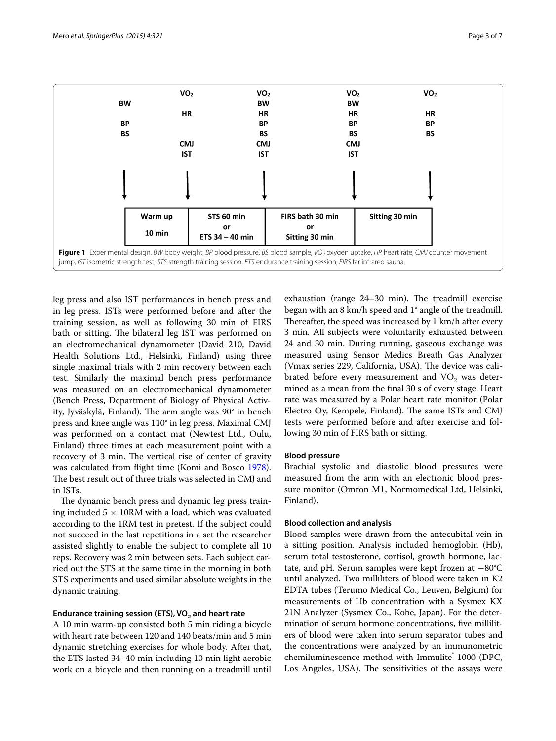

<span id="page-2-0"></span>leg press and also IST performances in bench press and in leg press. ISTs were performed before and after the training session, as well as following 30 min of FIRS bath or sitting. The bilateral leg IST was performed on an electromechanical dynamometer (David 210, David Health Solutions Ltd., Helsinki, Finland) using three single maximal trials with 2 min recovery between each test. Similarly the maximal bench press performance was measured on an electromechanical dynamometer (Bench Press, Department of Biology of Physical Activity, Jyväskylä, Finland). The arm angle was 90° in bench press and knee angle was 110° in leg press. Maximal CMJ was performed on a contact mat (Newtest Ltd., Oulu, Finland) three times at each measurement point with a recovery of 3 min. The vertical rise of center of gravity was calculated from flight time (Komi and Bosco [1978](#page-6-9)). The best result out of three trials was selected in CMJ and in ISTs.

The dynamic bench press and dynamic leg press training included  $5 \times 10$ RM with a load, which was evaluated according to the 1RM test in pretest. If the subject could not succeed in the last repetitions in a set the researcher assisted slightly to enable the subject to complete all 10 reps. Recovery was 2 min between sets. Each subject carried out the STS at the same time in the morning in both STS experiments and used similar absolute weights in the dynamic training.

#### Endurance training session (ETS), VO<sub>2</sub> and heart rate

A 10 min warm-up consisted both 5 min riding a bicycle with heart rate between 120 and 140 beats/min and 5 min dynamic stretching exercises for whole body. After that, the ETS lasted 34–40 min including 10 min light aerobic work on a bicycle and then running on a treadmill until

exhaustion (range 24–30 min). The treadmill exercise began with an 8 km/h speed and 1° angle of the treadmill. Thereafter, the speed was increased by 1 km/h after every 3 min. All subjects were voluntarily exhausted between 24 and 30 min. During running, gaseous exchange was measured using Sensor Medics Breath Gas Analyzer (Vmax series 229, California, USA). The device was calibrated before every measurement and  $VO<sub>2</sub>$  was determined as a mean from the final 30 s of every stage. Heart rate was measured by a Polar heart rate monitor (Polar Electro Oy, Kempele, Finland). The same ISTs and CMJ tests were performed before and after exercise and following 30 min of FIRS bath or sitting.

#### **Blood pressure**

Brachial systolic and diastolic blood pressures were measured from the arm with an electronic blood pressure monitor (Omron M1, Normomedical Ltd, Helsinki, Finland).

#### **Blood collection and analysis**

Blood samples were drawn from the antecubital vein in a sitting position. Analysis included hemoglobin (Hb), serum total testosterone, cortisol, growth hormone, lactate, and pH. Serum samples were kept frozen at −80°C until analyzed. Two milliliters of blood were taken in K2 EDTA tubes (Terumo Medical Co., Leuven, Belgium) for measurements of Hb concentration with a Sysmex KX 21N Analyzer (Sysmex Co., Kobe, Japan). For the determination of serum hormone concentrations, five milliliters of blood were taken into serum separator tubes and the concentrations were analyzed by an immunometric chemiluminescence method with Immulite<sup>®</sup> 1000 (DPC, Los Angeles, USA). The sensitivities of the assays were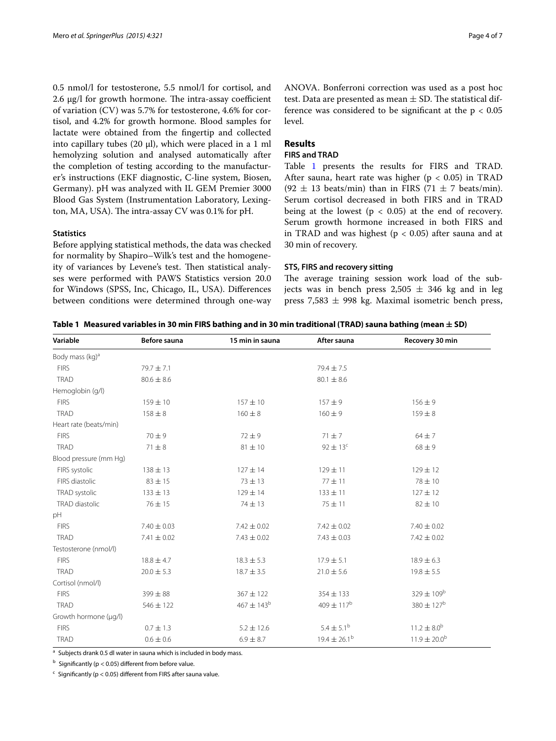0.5 nmol/l for testosterone, 5.5 nmol/l for cortisol, and 2.6 µg/l for growth hormone. The intra-assay coefficient of variation (CV) was 5.7% for testosterone, 4.6% for cortisol, and 4.2% for growth hormone. Blood samples for lactate were obtained from the fingertip and collected into capillary tubes (20 µl), which were placed in a 1 ml hemolyzing solution and analysed automatically after the completion of testing according to the manufacturer's instructions (EKF diagnostic, C-line system, Biosen, Germany). pH was analyzed with IL GEM Premier 3000 Blood Gas System (Instrumentation Laboratory, Lexington, MA, USA). The intra-assay CV was 0.1% for pH.

#### **Statistics**

Before applying statistical methods, the data was checked for normality by Shapiro–Wilk's test and the homogeneity of variances by Levene's test. Then statistical analyses were performed with PAWS Statistics version 20.0 for Windows (SPSS, Inc, Chicago, IL, USA). Differences between conditions were determined through one-way ANOVA. Bonferroni correction was used as a post hoc test. Data are presented as mean  $\pm$  SD. The statistical difference was considered to be significant at the  $p < 0.05$ level.

## **Results**

## **FIRS and TRAD**

Table [1](#page-3-0) presents the results for FIRS and TRAD. After sauna, heart rate was higher ( $p < 0.05$ ) in TRAD (92  $\pm$  13 beats/min) than in FIRS (71  $\pm$  7 beats/min). Serum cortisol decreased in both FIRS and in TRAD being at the lowest  $(p < 0.05)$  at the end of recovery. Serum growth hormone increased in both FIRS and in TRAD and was highest ( $p < 0.05$ ) after sauna and at 30 min of recovery.

## **STS, FIRS and recovery sitting**

The average training session work load of the subjects was in bench press  $2,505 \pm 346$  kg and in leg press  $7,583 \pm 998$  kg. Maximal isometric bench press,

<span id="page-3-0"></span>

|  | Table 1 $\,$ Measured variables in 30 min FIRS bathing and in 30 min traditional (TRAD) sauna bathing (mean $\pm$ SD) |  |  |  |
|--|-----------------------------------------------------------------------------------------------------------------------|--|--|--|
|--|-----------------------------------------------------------------------------------------------------------------------|--|--|--|

| Variable                    | Before sauna    | 15 min in sauna            | After sauna             | Recovery 30 min              |  |  |
|-----------------------------|-----------------|----------------------------|-------------------------|------------------------------|--|--|
| Body mass (kg) <sup>a</sup> |                 |                            |                         |                              |  |  |
| <b>FIRS</b>                 | 79.7 ± 7.1      |                            | 79.4 ± 7.5              |                              |  |  |
| <b>TRAD</b>                 | $80.6 \pm 8.6$  |                            | $80.1 \pm 8.6$          |                              |  |  |
| Hemoglobin (g/l)            |                 |                            |                         |                              |  |  |
| <b>FIRS</b>                 | $159 \pm 10$    | $157 + 10$                 | $157 + 9$               | $156 \pm 9$                  |  |  |
| <b>TRAD</b>                 | $158 + 8$       | $160 \pm 8$                | $160 + 9$               | $159 \pm 8$                  |  |  |
| Heart rate (beats/min)      |                 |                            |                         |                              |  |  |
| <b>FIRS</b>                 | $70 \pm 9$      | $72 \pm 9$                 | $71 \pm 7$              | $64 \pm 7$                   |  |  |
| <b>TRAD</b>                 | $71 \pm 8$      | $81 \pm 10$                | $92 \pm 13^c$           | $68 \pm 9$                   |  |  |
| Blood pressure (mm Hg)      |                 |                            |                         |                              |  |  |
| FIRS systolic               | $138 \pm 13$    | $127 \pm 14$               | $129 \pm 11$            | $129 \pm 12$                 |  |  |
| FIRS diastolic              | $83 \pm 15$     | $73 \pm 13$                | $77 \pm 11$             | 78 ± 10                      |  |  |
| TRAD systolic               | $133 \pm 13$    | $129 \pm 14$               | $133 \pm 11$            | $127 \pm 12$                 |  |  |
| TRAD diastolic              | $76 \pm 15$     | $74 \pm 13$                | $75 \pm 11$             | $82 \pm 10$                  |  |  |
| pH                          |                 |                            |                         |                              |  |  |
| <b>FIRS</b>                 | $7.40 \pm 0.03$ | $7.42 \pm 0.02$            | $7.42 \pm 0.02$         | $7.40 \pm 0.02$              |  |  |
| <b>TRAD</b>                 | $7.41 \pm 0.02$ | $7.43 \pm 0.02$            | $7.43 \pm 0.03$         | $7.42 \pm 0.02$              |  |  |
| Testosterone (nmol/l)       |                 |                            |                         |                              |  |  |
| <b>FIRS</b>                 | $18.8 \pm 4.7$  | $18.3 \pm 5.3$             | $17.9 \pm 5.1$          | $18.9 \pm 6.3$               |  |  |
| <b>TRAD</b>                 | $20.0 \pm 5.3$  | $18.7 \pm 3.5$             | $21.0 \pm 5.6$          | $19.8 \pm 5.5$               |  |  |
| Cortisol (nmol/l)           |                 |                            |                         |                              |  |  |
| <b>FIRS</b>                 | $399 \pm 88$    | $367 \pm 122$              | $354 \pm 133$           | $329 \pm 109^{\rm b}$        |  |  |
| <b>TRAD</b>                 | $546 \pm 122$   | $467 \pm 143$ <sup>b</sup> | $409 \pm 117^{b}$       | $380 \pm 127^{\rm b}$        |  |  |
| Growth hormone (µg/l)       |                 |                            |                         |                              |  |  |
| <b>FIRS</b>                 | $0.7 \pm 1.3$   | $5.2 \pm 12.6$             | $5.4 \pm 5.1^{\circ}$   | $11.2 \pm 8.0^{\rm b}$       |  |  |
| <b>TRAD</b>                 | $0.6 \pm 0.6$   | $6.9 \pm 8.7$              | $19.4 \pm 26.1^{\circ}$ | $11.9 \pm 20.0$ <sup>b</sup> |  |  |

<sup>a</sup> Subjects drank 0.5 dl water in sauna which is included in body mass.

 $<sup>b</sup>$  Significantly (p < 0.05) different from before value.</sup>

 $c$  Significantly (p < 0.05) different from FIRS after sauna value.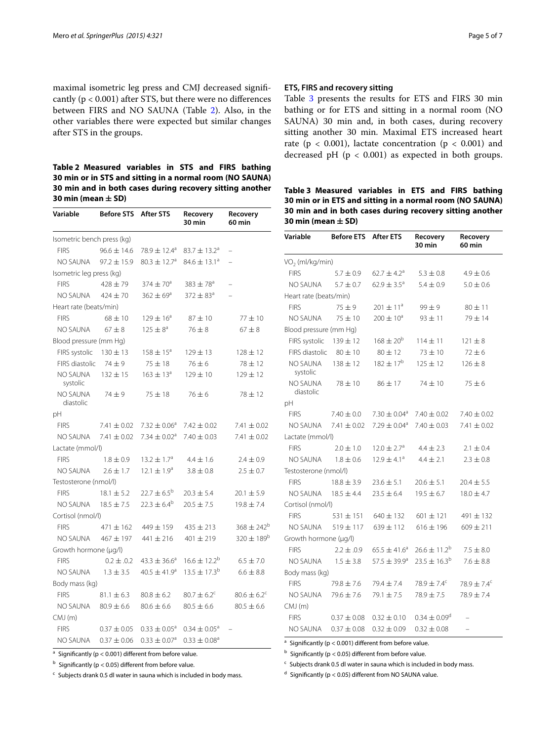maximal isometric leg press and CMJ decreased significantly  $(p < 0.001)$  after STS, but there were no differences between FIRS and NO SAUNA (Table [2\)](#page-4-0). Also, in the other variables there were expected but similar changes after STS in the groups.

<span id="page-4-0"></span>**Table 2 Measured variables in STS and FIRS bathing 30 min or in STS and sitting in a normal room (NO SAUNA) 30 min and in both cases during recovery sitting another 30 min (mean ± SD)**

| Variable                   | <b>Before STS</b> | After STS                    | Recovery<br>30 min           | Recovery<br>60 min          |
|----------------------------|-------------------|------------------------------|------------------------------|-----------------------------|
| Isometric bench press (kg) |                   |                              |                              |                             |
| <b>FIRS</b>                | $96.6 \pm 14.6$   | 78.9 ± 12.4 <sup>a</sup>     | 83.7 $\pm$ 13.2 <sup>a</sup> |                             |
| NO SAUNA                   | $97.2 \pm 15.9$   | $80.3 \pm 12.7$ <sup>a</sup> | $84.6 \pm 13.1^a$            |                             |
| Isometric leg press (kg)   |                   |                              |                              |                             |
| <b>FIRS</b>                | $428 + 79$        | $374 \pm 70^{\circ}$         | $383 \pm 78^{\circ}$         |                             |
| NO SAUNA                   | $424 \pm 70$      | $362 \pm 69^{\circ}$         | $372 \pm 83^{\circ}$         |                             |
| Heart rate (beats/min)     |                   |                              |                              |                             |
| <b>FIRS</b>                | $68 + 10$         | $129 \pm 16^{\circ}$         | $87 + 10$                    | $77 + 10$                   |
| <b>NO SAUNA</b>            | $67 \pm 8$        | $125 \pm 8^a$                | $76 \pm 8$                   | $67 \pm 8$                  |
| Blood pressure (mm Hq)     |                   |                              |                              |                             |
| FIRS systolic              | $130 \pm 13$      | $158 \pm 15^{\circ}$         | $129 \pm 13$                 | $128 \pm 12$                |
| FIRS diastolic             | $74 + 9$          | $75 \pm 18$                  | $76 \pm 6$                   | $78 \pm 12$                 |
| NO SAUNA<br>systolic       | $132 \pm 15$      | $163 \pm 13^{a}$             | $129 \pm 10$                 | $129 \pm 12$                |
| NO SAUNA<br>diastolic      | $74 + 9$          | $75 \pm 18$                  | $76 \pm 6$                   | $78 \pm 12$                 |
| рH                         |                   |                              |                              |                             |
| <b>FIRS</b>                | $7.41 \pm 0.02$   | $7.32 \pm 0.06^a$            | $7.42 \pm 0.02$              | $7.41 \pm 0.02$             |
| NO SAUNA                   | $7.41 \pm 0.02$   | $7.34 \pm 0.02$ <sup>a</sup> | $7.40 \pm 0.03$              | $7.41 \pm 0.02$             |
| Lactate (mmol/l)           |                   |                              |                              |                             |
| <b>FIRS</b>                | $1.8 \pm 0.9$     | $13.2 \pm 1.7^{\circ}$       | $4.4 \pm 1.6$                | $2.4 \pm 0.9$               |
| NO SAUNA                   | $2.6 \pm 1.7$     | $12.1 \pm 1.9^a$             | $3.8 \pm 0.8$                | $2.5 \pm 0.7$               |
| Testosterone (nmol/l)      |                   |                              |                              |                             |
| <b>FIRS</b>                | $18.1 \pm 5.2$    | $22.7 \pm 6.5^{\circ}$       | $20.3 \pm 5.4$               | $20.1 \pm 5.9$              |
| NO SAUNA                   | $18.5 \pm 7.5$    | $22.3 \pm 6.4^b$             | $20.5 \pm 7.5$               | $19.8 \pm 7.4$              |
| Cortisol (nmol/l)          |                   |                              |                              |                             |
| <b>FIRS</b>                | $471 \pm 162$     | $449 \pm 159$                | $435 \pm 213$                | $368 \pm 242^{\circ}$       |
| NO SAUNA                   | $467 + 197$       | 441 ± 216                    | $401 \pm 219$                | $320 \pm 189^{\rm b}$       |
| Growth hormone (µg/l)      |                   |                              |                              |                             |
| <b>FIRS</b>                | $0.2 \pm .0.2$    | $43.3 \pm 36.6^a$            | $16.6 \pm 12.2^b$            | $6.5 \pm 7.0$               |
| NO SAUNA                   | $1.3 \pm 3.5$     | $40.5 \pm 41.9^a$            | $13.5 \pm 17.3^b$            | $6.6 \pm 8.8$               |
| Body mass (kg)             |                   |                              |                              |                             |
| <b>FIRS</b>                | $81.1 \pm 6.3$    | $80.8 \pm 6.2$               | $80.7 \pm 6.2$ <sup>c</sup>  | $80.6 \pm 6.2$ <sup>c</sup> |
| NO SAUNA                   | $80.9 \pm 6.6$    | $80.6 \pm 6.6$               | $80.5 \pm 6.6$               | $80.5 \pm 6.6$              |
| CMJ(m)                     |                   |                              |                              |                             |
| <b>FIRS</b>                | $0.37 \pm 0.05$   | $0.33 \pm 0.05^{\circ}$      | $0.34 \pm 0.05^{\circ}$      |                             |
| NO SAUNA                   | $0.37 \pm 0.06$   | $0.33 \pm 0.07$ <sup>a</sup> | $0.33 \pm 0.08$ <sup>a</sup> |                             |

 $a$  Significantly (p < 0.001) different from before value.

 $<sub>b</sub>$  Significantly (p < 0.05) different from before value.</sub>

 $\epsilon$  Subjects drank 0.5 dl water in sauna which is included in body mass.

#### **ETS, FIRS and recovery sitting**

Table [3](#page-4-1) presents the results for ETS and FIRS 30 min bathing or for ETS and sitting in a normal room (NO SAUNA) 30 min and, in both cases, during recovery sitting another 30 min. Maximal ETS increased heart rate ( $p < 0.001$ ), lactate concentration ( $p < 0.001$ ) and decreased pH ( $p < 0.001$ ) as expected in both groups.

<span id="page-4-1"></span>**Table 3 Measured variables in ETS and FIRS bathing 30 min or in ETS and sitting in a normal room (NO SAUNA) 30 min and in both cases during recovery sitting another 30 min (mean ± SD)**

| Variable               | <b>Before ETS</b>     | <b>After ETS</b>             | Recovery<br>30 min          | Recovery<br>60 min          |  |  |
|------------------------|-----------------------|------------------------------|-----------------------------|-----------------------------|--|--|
| $VO2$ (ml/kg/min)      |                       |                              |                             |                             |  |  |
| <b>FIRS</b>            | $5.7 \pm 0.9$         | $62.7 \pm 4.2$ <sup>a</sup>  | $5.3 \pm 0.8$               | $4.9 \pm 0.6$               |  |  |
| NO SAUNA               | $5.7 + 0.7$           | $62.9 \pm 3.5^{\circ}$       | $5.4 \pm 0.9$               | $5.0 \pm 0.6$               |  |  |
| Heart rate (beats/min) |                       |                              |                             |                             |  |  |
| <b>FIRS</b>            | $75 + 9$              | $201 \pm 11^a$               | $99 \pm 9$                  | $80 \pm 11$                 |  |  |
| NO SAUNA               | $75 + 10$             | $200 \pm 10^a$               | $93 + 11$                   | $79 + 14$                   |  |  |
| Blood pressure (mm Hg) |                       |                              |                             |                             |  |  |
| FIRS systolic          | $139 \pm 12$          | $168 + 20^{6}$               | $114 \pm 11$                | $121 \pm 8$                 |  |  |
| FIRS diastolic         | $80 + 10$             | $80 \pm 12$                  | $73 \pm 10$                 | $72 + 6$                    |  |  |
| NO SAUNA<br>systolic   | $138 + 12$            | $182 + 17^{b}$               | $125 \pm 12$                | $126 + 8$                   |  |  |
| NO SAUNA<br>diastolic  | $78 \pm 10$           | $86 \pm 17$                  | $74 \pm 10$                 | $75 \pm 6$                  |  |  |
| pH                     |                       |                              |                             |                             |  |  |
| <b>FIRS</b>            | $7.40 \pm 0.0$        | 7.30 $\pm$ 0.04 <sup>a</sup> | $7.40 \pm 0.02$             | $7.40 \pm 0.02$             |  |  |
| NO SAUNA               | $7.41 \pm 0.02$       | $7.29 \pm 0.04$ <sup>a</sup> | $7.40 \pm 0.03$             | $7.41 \pm 0.02$             |  |  |
| Lactate (mmol/l)       |                       |                              |                             |                             |  |  |
| <b>FIRS</b>            | $2.0 \pm 1.0$         | $12.0 \pm 2.7^{\circ}$       | $4.4 \pm 2.3$               | $2.1 \pm 0.4$               |  |  |
| NO SAUNA               | $1.8 \pm 0.6$         | $12.9 \pm 4.1^{\circ}$       | $4.4 \pm 2.1$               | $2.3 \pm 0.8$               |  |  |
| Testosterone (nmol/l)  |                       |                              |                             |                             |  |  |
| <b>FIRS</b>            | $18.8 \pm 3.9$        | $23.6 \pm 5.1$               | $20.6 \pm 5.1$              | $20.4 \pm 5.5$              |  |  |
| NO SAUNA               | $18.5 \pm 4.4$        | $23.5 \pm 6.4$               | $19.5 \pm 6.7$              | $18.0 \pm 4.7$              |  |  |
| Cortisol (nmol/l)      |                       |                              |                             |                             |  |  |
| <b>FIRS</b>            | $531 \pm 151$         | $640 \pm 132$                | $601 \pm 121$               | 491 ± 132                   |  |  |
| NO SAUNA               | $519 \pm 117$         | $639 \pm 112$                | $616 \pm 196$               | $609 \pm 211$               |  |  |
|                        | Growth hormone (µg/l) |                              |                             |                             |  |  |
| <b>FIRS</b>            | $2.2 \pm .0.9$        | $65.5 \pm 41.6^a$            | $26.6 \pm 11.2^b$           | $7.5 \pm 8.0$               |  |  |
| NO SAUNA               | $1.5 \pm 3.8$         | $57.5 \pm 39.9^{\circ}$      | $23.5 \pm 16.3^b$           | $7.6 \pm 8.8$               |  |  |
| Body mass (kg)         |                       |                              |                             |                             |  |  |
| <b>FIRS</b>            | $79.8 \pm 7.6$        | 79.4 ± 7.4                   | 78.9 $\pm$ 7.4 <sup>c</sup> | 78.9 $\pm$ 7.4 <sup>c</sup> |  |  |
| NO SAUNA               | $79.6 \pm 7.6$        | 79.1 ± 7.5                   | 78.9 ± 7.5                  | $78.9 \pm 7.4$              |  |  |
| CMJ(m)                 |                       |                              |                             |                             |  |  |
| <b>FIRS</b>            | $0.37 \pm 0.08$       | $0.32 \pm 0.10$              | $0.34 \pm 0.09^d$           |                             |  |  |
| NO SAUNA               | $0.37 \pm 0.08$       | $0.32 \pm 0.09$              | $0.32 \pm 0.08$             | $\overline{\phantom{0}}$    |  |  |

<sup>a</sup> Significantly ( $p < 0.001$ ) different from before value.

 $<$  5 Significantly (p < 0.05) different from before value.

 $c$  Subjects drank 0.5 dl water in sauna which is included in body mass.

 $d$  Significantly (p < 0.05) different from NO SAUNA value.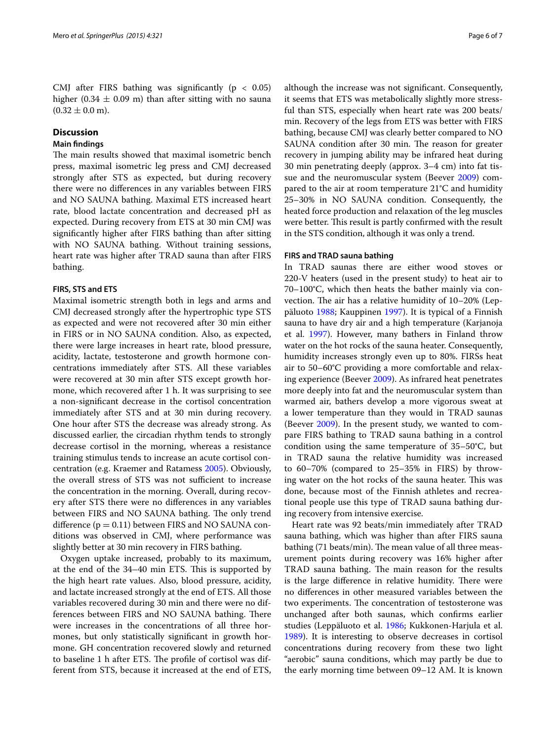CMJ after FIRS bathing was significantly ( $p < 0.05$ ) higher (0.34  $\pm$  0.09 m) than after sitting with no sauna  $(0.32 \pm 0.0 \text{ m})$ .

## **Discussion**

# **Main findings**

The main results showed that maximal isometric bench press, maximal isometric leg press and CMJ decreased strongly after STS as expected, but during recovery there were no differences in any variables between FIRS and NO SAUNA bathing. Maximal ETS increased heart rate, blood lactate concentration and decreased pH as expected. During recovery from ETS at 30 min CMJ was significantly higher after FIRS bathing than after sitting with NO SAUNA bathing. Without training sessions, heart rate was higher after TRAD sauna than after FIRS bathing.

## **FIRS, STS and ETS**

Maximal isometric strength both in legs and arms and CMJ decreased strongly after the hypertrophic type STS as expected and were not recovered after 30 min either in FIRS or in NO SAUNA condition. Also, as expected, there were large increases in heart rate, blood pressure, acidity, lactate, testosterone and growth hormone concentrations immediately after STS. All these variables were recovered at 30 min after STS except growth hormone, which recovered after 1 h. It was surprising to see a non-significant decrease in the cortisol concentration immediately after STS and at 30 min during recovery. One hour after STS the decrease was already strong. As discussed earlier, the circadian rhythm tends to strongly decrease cortisol in the morning, whereas a resistance training stimulus tends to increase an acute cortisol concentration (e.g. Kraemer and Ratamess [2005](#page-6-10)). Obviously, the overall stress of STS was not sufficient to increase the concentration in the morning. Overall, during recovery after STS there were no differences in any variables between FIRS and NO SAUNA bathing. The only trend difference  $(p = 0.11)$  between FIRS and NO SAUNA conditions was observed in CMJ, where performance was slightly better at 30 min recovery in FIRS bathing.

Oxygen uptake increased, probably to its maximum, at the end of the 34–40 min ETS. This is supported by the high heart rate values. Also, blood pressure, acidity, and lactate increased strongly at the end of ETS. All those variables recovered during 30 min and there were no differences between FIRS and NO SAUNA bathing. There were increases in the concentrations of all three hormones, but only statistically significant in growth hormone. GH concentration recovered slowly and returned to baseline 1 h after ETS. The profile of cortisol was different from STS, because it increased at the end of ETS,

although the increase was not significant. Consequently, it seems that ETS was metabolically slightly more stressful than STS, especially when heart rate was 200 beats/ min. Recovery of the legs from ETS was better with FIRS bathing, because CMJ was clearly better compared to NO SAUNA condition after 30 min. The reason for greater recovery in jumping ability may be infrared heat during 30 min penetrating deeply (approx. 3–4 cm) into fat tissue and the neuromuscular system (Beever [2009](#page-6-4)) compared to the air at room temperature 21°C and humidity 25–30% in NO SAUNA condition. Consequently, the heated force production and relaxation of the leg muscles were better. This result is partly confirmed with the result in the STS condition, although it was only a trend.

## **FIRS and TRAD sauna bathing**

In TRAD saunas there are either wood stoves or 220-V heaters (used in the present study) to heat air to 70–100°C, which then heats the bather mainly via convection. The air has a relative humidity of 10–20% (Leppäluoto [1988;](#page-6-2) Kauppinen [1997\)](#page-6-3). It is typical of a Finnish sauna to have dry air and a high temperature (Karjanoja et al. [1997\)](#page-6-11). However, many bathers in Finland throw water on the hot rocks of the sauna heater. Consequently, humidity increases strongly even up to 80%. FIRSs heat air to 50–60°C providing a more comfortable and relaxing experience (Beever [2009\)](#page-6-4). As infrared heat penetrates more deeply into fat and the neuromuscular system than warmed air, bathers develop a more vigorous sweat at a lower temperature than they would in TRAD saunas (Beever [2009](#page-6-4)). In the present study, we wanted to compare FIRS bathing to TRAD sauna bathing in a control condition using the same temperature of 35–50°C, but in TRAD sauna the relative humidity was increased to 60–70% (compared to 25–35% in FIRS) by throwing water on the hot rocks of the sauna heater. This was done, because most of the Finnish athletes and recreational people use this type of TRAD sauna bathing during recovery from intensive exercise.

Heart rate was 92 beats/min immediately after TRAD sauna bathing, which was higher than after FIRS sauna bathing (71 beats/min). The mean value of all three measurement points during recovery was 16% higher after TRAD sauna bathing. The main reason for the results is the large difference in relative humidity. There were no differences in other measured variables between the two experiments. The concentration of testosterone was unchanged after both saunas, which confirms earlier studies (Leppäluoto et al. [1986;](#page-6-12) Kukkonen-Harjula et al. [1989](#page-6-13)). It is interesting to observe decreases in cortisol concentrations during recovery from these two light "aerobic" sauna conditions, which may partly be due to the early morning time between 09–12 AM. It is known